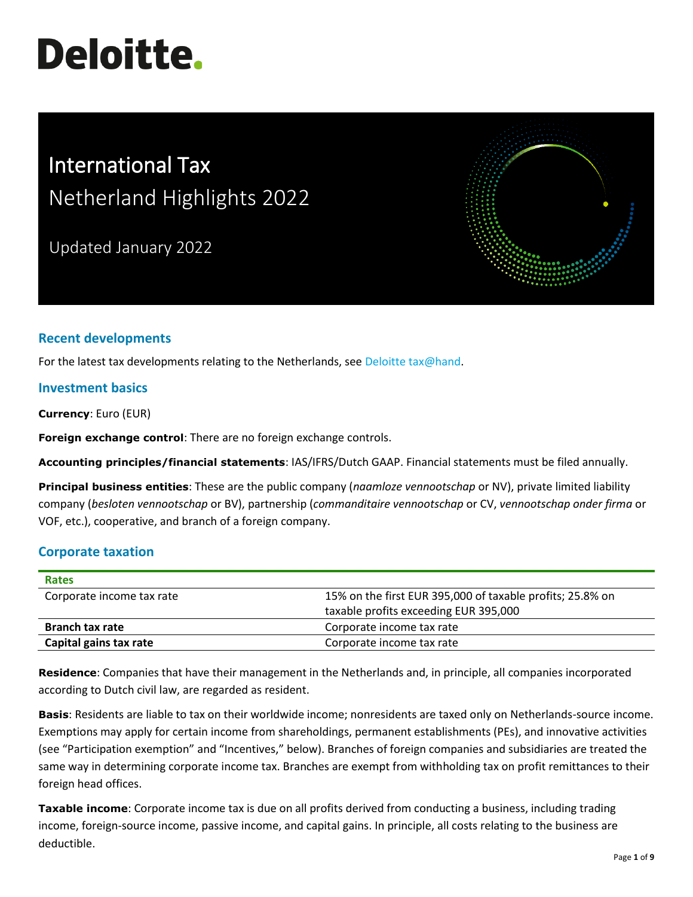# **Deloitte.**

## International Tax Netherland Highlights 2022

Updated January 2022



### **Recent developments**

For the latest tax developments relating to the Netherlands, see [Deloitte tax@hand.](https://www.taxathand.com/)

#### **Investment basics**

**Currency**: Euro (EUR)

**Foreign exchange control**: There are no foreign exchange controls.

**Accounting principles/financial statements**: IAS/IFRS/Dutch GAAP. Financial statements must be filed annually.

**Principal business entities**: These are the public company (*naamloze vennootschap* or NV), private limited liability company (*besloten vennootschap* or BV), partnership (*commanditaire vennootschap* or CV, *vennootschap onder firma* or VOF, etc.), cooperative, and branch of a foreign company.

#### **Corporate taxation**

| <b>Rates</b>              |                                                           |
|---------------------------|-----------------------------------------------------------|
| Corporate income tax rate | 15% on the first EUR 395,000 of taxable profits; 25.8% on |
|                           | taxable profits exceeding EUR 395,000                     |
| <b>Branch tax rate</b>    | Corporate income tax rate                                 |
| Capital gains tax rate    | Corporate income tax rate                                 |

**Residence**: Companies that have their management in the Netherlands and, in principle, all companies incorporated according to Dutch civil law, are regarded as resident.

**Basis**: Residents are liable to tax on their worldwide income; nonresidents are taxed only on Netherlands-source income. Exemptions may apply for certain income from shareholdings, permanent establishments (PEs), and innovative activities (see "Participation exemption" and "Incentives," below). Branches of foreign companies and subsidiaries are treated the same way in determining corporate income tax. Branches are exempt from withholding tax on profit remittances to their foreign head offices.

**Taxable income**: Corporate income tax is due on all profits derived from conducting a business, including trading income, foreign-source income, passive income, and capital gains. In principle, all costs relating to the business are deductible.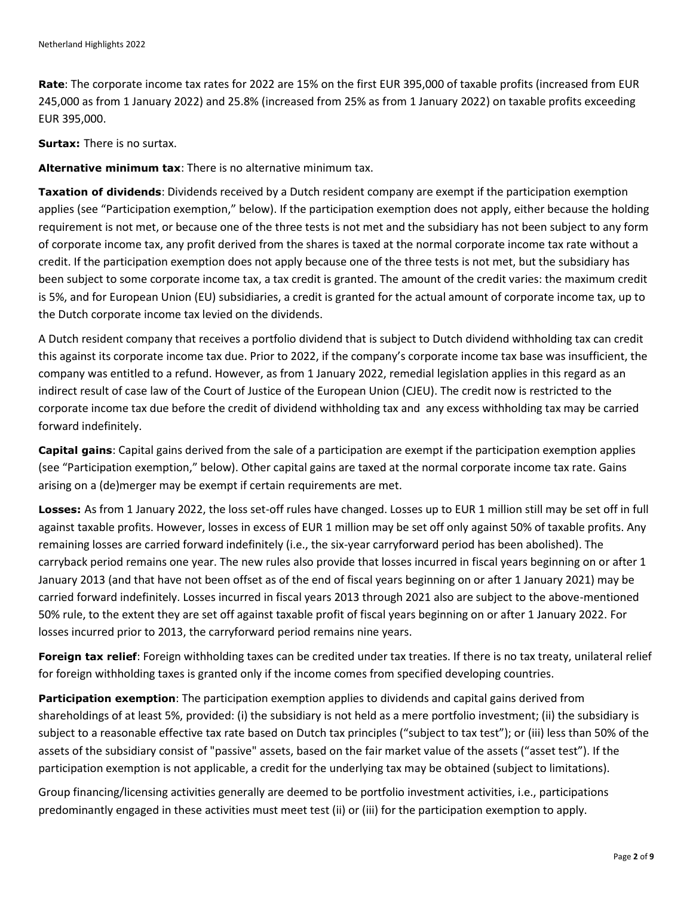**Rate**: The corporate income tax rates for 2022 are 15% on the first EUR 395,000 of taxable profits (increased from EUR 245,000 as from 1 January 2022) and 25.8% (increased from 25% as from 1 January 2022) on taxable profits exceeding EUR 395,000.

**Surtax:** There is no surtax.

**Alternative minimum tax**: There is no alternative minimum tax.

**Taxation of dividends**: Dividends received by a Dutch resident company are exempt if the participation exemption applies (see "Participation exemption," below). If the participation exemption does not apply, either because the holding requirement is not met, or because one of the three tests is not met and the subsidiary has not been subject to any form of corporate income tax, any profit derived from the shares is taxed at the normal corporate income tax rate without a credit. If the participation exemption does not apply because one of the three tests is not met, but the subsidiary has been subject to some corporate income tax, a tax credit is granted. The amount of the credit varies: the maximum credit is 5%, and for European Union (EU) subsidiaries, a credit is granted for the actual amount of corporate income tax, up to the Dutch corporate income tax levied on the dividends.

A Dutch resident company that receives a portfolio dividend that is subject to Dutch dividend withholding tax can credit this against its corporate income tax due. Prior to 2022, if the company's corporate income tax base was insufficient, the company was entitled to a refund. However, as from 1 January 2022, remedial legislation applies in this regard as an indirect result of case law of the Court of Justice of the European Union (CJEU). The credit now is restricted to the corporate income tax due before the credit of dividend withholding tax and any excess withholding tax may be carried forward indefinitely.

**Capital gains**: Capital gains derived from the sale of a participation are exempt if the participation exemption applies (see "Participation exemption," below). Other capital gains are taxed at the normal corporate income tax rate. Gains arising on a (de)merger may be exempt if certain requirements are met.

**Losses:** As from 1 January 2022, the loss set-off rules have changed. Losses up to EUR 1 million still may be set off in full against taxable profits. However, losses in excess of EUR 1 million may be set off only against 50% of taxable profits. Any remaining losses are carried forward indefinitely (i.e., the six-year carryforward period has been abolished). The carryback period remains one year. The new rules also provide that losses incurred in fiscal years beginning on or after 1 January 2013 (and that have not been offset as of the end of fiscal years beginning on or after 1 January 2021) may be carried forward indefinitely. Losses incurred in fiscal years 2013 through 2021 also are subject to the above-mentioned 50% rule, to the extent they are set off against taxable profit of fiscal years beginning on or after 1 January 2022. For losses incurred prior to 2013, the carryforward period remains nine years.

**Foreign tax relief**: Foreign withholding taxes can be credited under tax treaties. If there is no tax treaty, unilateral relief for foreign withholding taxes is granted only if the income comes from specified developing countries.

**Participation exemption**: The participation exemption applies to dividends and capital gains derived from shareholdings of at least 5%, provided: (i) the subsidiary is not held as a mere portfolio investment; (ii) the subsidiary is subject to a reasonable effective tax rate based on Dutch tax principles ("subject to tax test"); or (iii) less than 50% of the assets of the subsidiary consist of "passive" assets, based on the fair market value of the assets ("asset test"). If the participation exemption is not applicable, a credit for the underlying tax may be obtained (subject to limitations).

Group financing/licensing activities generally are deemed to be portfolio investment activities, i.e., participations predominantly engaged in these activities must meet test (ii) or (iii) for the participation exemption to apply.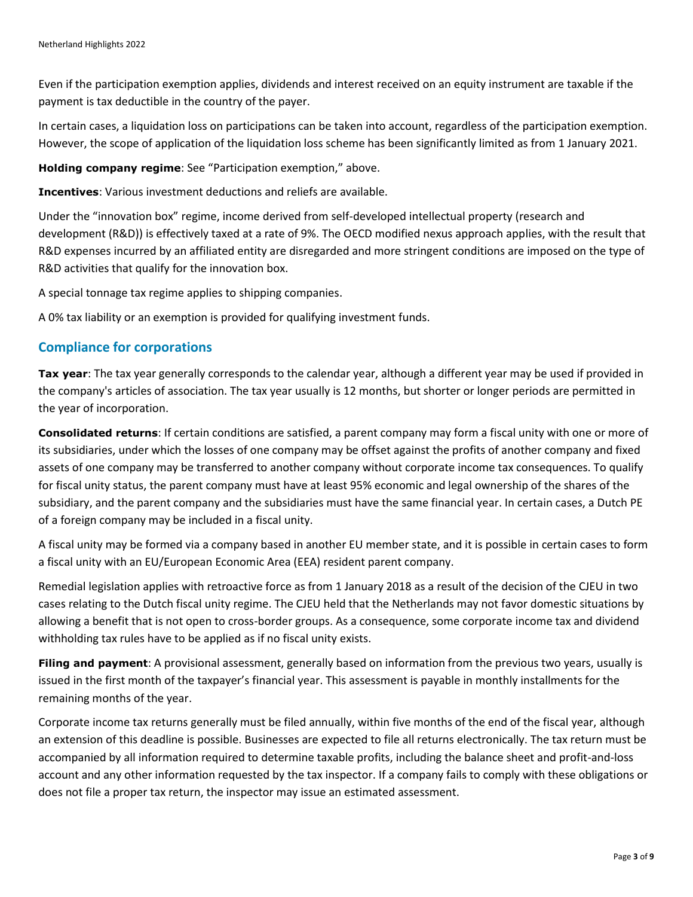Even if the participation exemption applies, dividends and interest received on an equity instrument are taxable if the payment is tax deductible in the country of the payer.

In certain cases, a liquidation loss on participations can be taken into account, regardless of the participation exemption. However, the scope of application of the liquidation loss scheme has been significantly limited as from 1 January 2021.

**Holding company regime**: See "Participation exemption," above.

**Incentives**: Various investment deductions and reliefs are available.

Under the "innovation box" regime, income derived from self-developed intellectual property (research and development (R&D)) is effectively taxed at a rate of 9%. The OECD modified nexus approach applies, with the result that R&D expenses incurred by an affiliated entity are disregarded and more stringent conditions are imposed on the type of R&D activities that qualify for the innovation box.

A special tonnage tax regime applies to shipping companies.

A 0% tax liability or an exemption is provided for qualifying investment funds.

#### **Compliance for corporations**

**Tax year**: The tax year generally corresponds to the calendar year, although a different year may be used if provided in the company's articles of association. The tax year usually is 12 months, but shorter or longer periods are permitted in the year of incorporation.

**Consolidated returns**: If certain conditions are satisfied, a parent company may form a fiscal unity with one or more of its subsidiaries, under which the losses of one company may be offset against the profits of another company and fixed assets of one company may be transferred to another company without corporate income tax consequences. To qualify for fiscal unity status, the parent company must have at least 95% economic and legal ownership of the shares of the subsidiary, and the parent company and the subsidiaries must have the same financial year. In certain cases, a Dutch PE of a foreign company may be included in a fiscal unity.

A fiscal unity may be formed via a company based in another EU member state, and it is possible in certain cases to form a fiscal unity with an EU/European Economic Area (EEA) resident parent company.

Remedial legislation applies with retroactive force as from 1 January 2018 as a result of the decision of the CJEU in two cases relating to the Dutch fiscal unity regime. The CJEU held that the Netherlands may not favor domestic situations by allowing a benefit that is not open to cross-border groups. As a consequence, some corporate income tax and dividend withholding tax rules have to be applied as if no fiscal unity exists.

**Filing and payment**: A provisional assessment, generally based on information from the previous two years, usually is issued in the first month of the taxpayer's financial year. This assessment is payable in monthly installments for the remaining months of the year.

Corporate income tax returns generally must be filed annually, within five months of the end of the fiscal year, although an extension of this deadline is possible. Businesses are expected to file all returns electronically. The tax return must be accompanied by all information required to determine taxable profits, including the balance sheet and profit-and-loss account and any other information requested by the tax inspector. If a company fails to comply with these obligations or does not file a proper tax return, the inspector may issue an estimated assessment.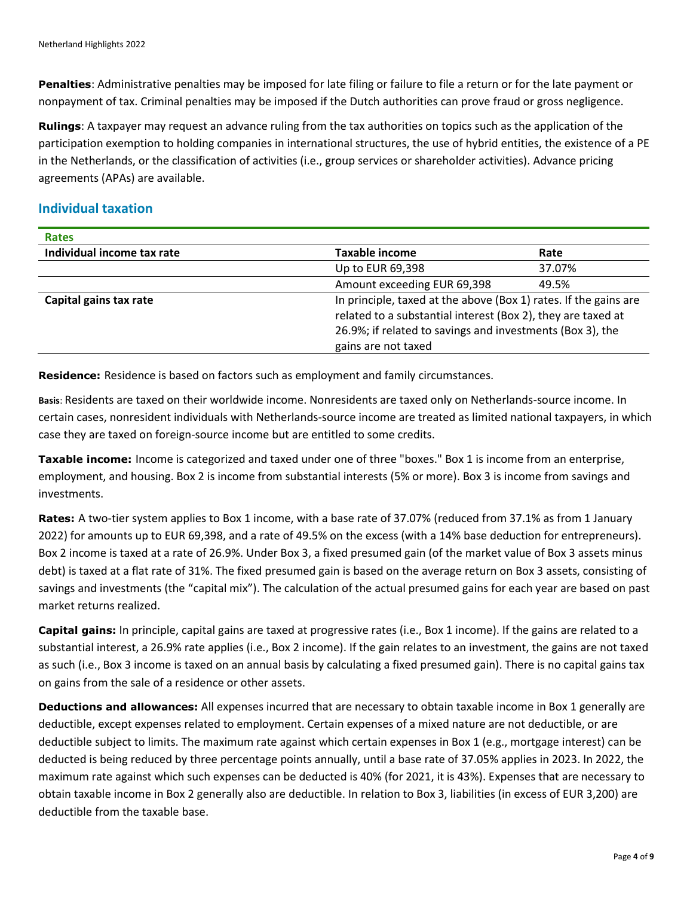**Penalties**: Administrative penalties may be imposed for late filing or failure to file a return or for the late payment or nonpayment of tax. Criminal penalties may be imposed if the Dutch authorities can prove fraud or gross negligence.

**Rulings**: A taxpayer may request an advance ruling from the tax authorities on topics such as the application of the participation exemption to holding companies in international structures, the use of hybrid entities, the existence of a PE in the Netherlands, or the classification of activities (i.e., group services or shareholder activities). Advance pricing agreements (APAs) are available.

#### **Individual taxation**

| <b>Rates</b>               |                                                                                                                                                                                                                      |        |
|----------------------------|----------------------------------------------------------------------------------------------------------------------------------------------------------------------------------------------------------------------|--------|
| Individual income tax rate | <b>Taxable income</b>                                                                                                                                                                                                | Rate   |
|                            | Up to EUR 69,398                                                                                                                                                                                                     | 37.07% |
|                            | Amount exceeding EUR 69,398                                                                                                                                                                                          | 49.5%  |
| Capital gains tax rate     | In principle, taxed at the above (Box 1) rates. If the gains are<br>related to a substantial interest (Box 2), they are taxed at<br>26.9%; if related to savings and investments (Box 3), the<br>gains are not taxed |        |

**Residence:** Residence is based on factors such as employment and family circumstances.

**Basis**: Residents are taxed on their worldwide income. Nonresidents are taxed only on Netherlands-source income. In certain cases, nonresident individuals with Netherlands-source income are treated as limited national taxpayers, in which case they are taxed on foreign-source income but are entitled to some credits.

**Taxable income:** Income is categorized and taxed under one of three "boxes." Box 1 is income from an enterprise, employment, and housing. Box 2 is income from substantial interests (5% or more). Box 3 is income from savings and investments.

**Rates:** A two-tier system applies to Box 1 income, with a base rate of 37.07% (reduced from 37.1% as from 1 January 2022) for amounts up to EUR 69,398, and a rate of 49.5% on the excess (with a 14% base deduction for entrepreneurs). Box 2 income is taxed at a rate of 26.9%. Under Box 3, a fixed presumed gain (of the market value of Box 3 assets minus debt) is taxed at a flat rate of 31%. The fixed presumed gain is based on the average return on Box 3 assets, consisting of savings and investments (the "capital mix"). The calculation of the actual presumed gains for each year are based on past market returns realized.

**Capital gains:** In principle, capital gains are taxed at progressive rates (i.e., Box 1 income). If the gains are related to a substantial interest, a 26.9% rate applies (i.e., Box 2 income). If the gain relates to an investment, the gains are not taxed as such (i.e., Box 3 income is taxed on an annual basis by calculating a fixed presumed gain). There is no capital gains tax on gains from the sale of a residence or other assets.

**Deductions and allowances:** All expenses incurred that are necessary to obtain taxable income in Box 1 generally are deductible, except expenses related to employment. Certain expenses of a mixed nature are not deductible, or are deductible subject to limits. The maximum rate against which certain expenses in Box 1 (e.g., mortgage interest) can be deducted is being reduced by three percentage points annually, until a base rate of 37.05% applies in 2023. In 2022, the maximum rate against which such expenses can be deducted is 40% (for 2021, it is 43%). Expenses that are necessary to obtain taxable income in Box 2 generally also are deductible. In relation to Box 3, liabilities (in excess of EUR 3,200) are deductible from the taxable base.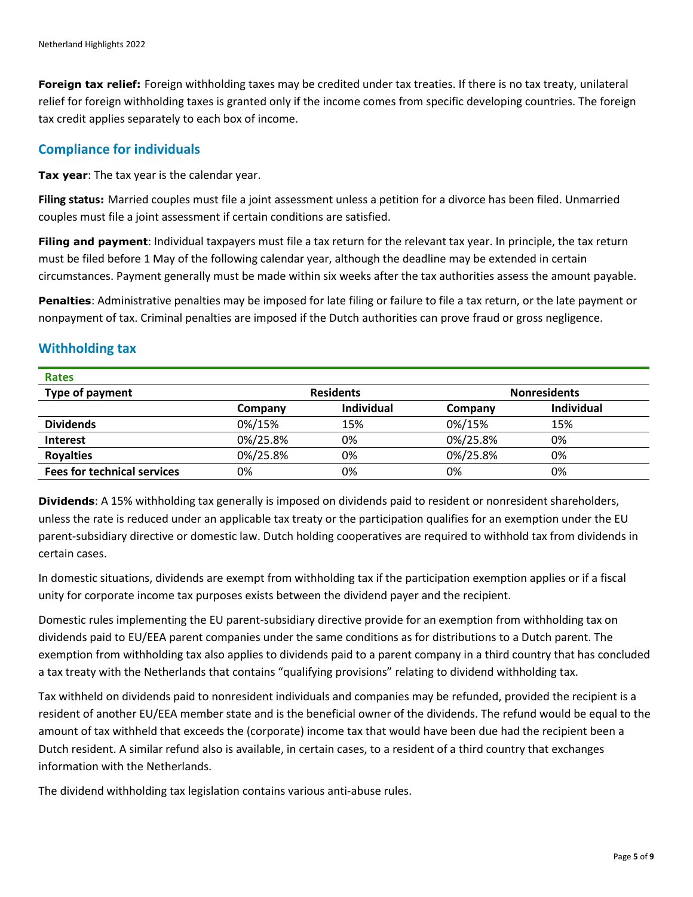**Foreign tax relief:** Foreign withholding taxes may be credited under tax treaties. If there is no tax treaty, unilateral relief for foreign withholding taxes is granted only if the income comes from specific developing countries. The foreign tax credit applies separately to each box of income.

#### **Compliance for individuals**

**Tax year**: The tax year is the calendar year.

**Filing status:** Married couples must file a joint assessment unless a petition for a divorce has been filed. Unmarried couples must file a joint assessment if certain conditions are satisfied.

**Filing and payment**: Individual taxpayers must file a tax return for the relevant tax year. In principle, the tax return must be filed before 1 May of the following calendar year, although the deadline may be extended in certain circumstances. Payment generally must be made within six weeks after the tax authorities assess the amount payable.

**Penalties**: Administrative penalties may be imposed for late filing or failure to file a tax return, or the late payment or nonpayment of tax. Criminal penalties are imposed if the Dutch authorities can prove fraud or gross negligence.

#### **Withholding tax**

| <b>Rates</b>                       |                  |            |                     |                   |
|------------------------------------|------------------|------------|---------------------|-------------------|
| Type of payment                    | <b>Residents</b> |            | <b>Nonresidents</b> |                   |
|                                    | Company          | Individual | Company             | <b>Individual</b> |
| <b>Dividends</b>                   | 0%/15%           | 15%        | 0%/15%              | 15%               |
| <b>Interest</b>                    | 0%/25.8%         | 0%         | 0%/25.8%            | 0%                |
| <b>Royalties</b>                   | 0%/25.8%         | 0%         | 0%/25.8%            | 0%                |
| <b>Fees for technical services</b> | 0%               | 0%         | 0%                  | 0%                |

**Dividends**: A 15% withholding tax generally is imposed on dividends paid to resident or nonresident shareholders, unless the rate is reduced under an applicable tax treaty or the participation qualifies for an exemption under the EU parent-subsidiary directive or domestic law. Dutch holding cooperatives are required to withhold tax from dividends in certain cases.

In domestic situations, dividends are exempt from withholding tax if the participation exemption applies or if a fiscal unity for corporate income tax purposes exists between the dividend payer and the recipient.

Domestic rules implementing the EU parent-subsidiary directive provide for an exemption from withholding tax on dividends paid to EU/EEA parent companies under the same conditions as for distributions to a Dutch parent. The exemption from withholding tax also applies to dividends paid to a parent company in a third country that has concluded a tax treaty with the Netherlands that contains "qualifying provisions" relating to dividend withholding tax.

Tax withheld on dividends paid to nonresident individuals and companies may be refunded, provided the recipient is a resident of another EU/EEA member state and is the beneficial owner of the dividends. The refund would be equal to the amount of tax withheld that exceeds the (corporate) income tax that would have been due had the recipient been a Dutch resident. A similar refund also is available, in certain cases, to a resident of a third country that exchanges information with the Netherlands.

The dividend withholding tax legislation contains various anti-abuse rules.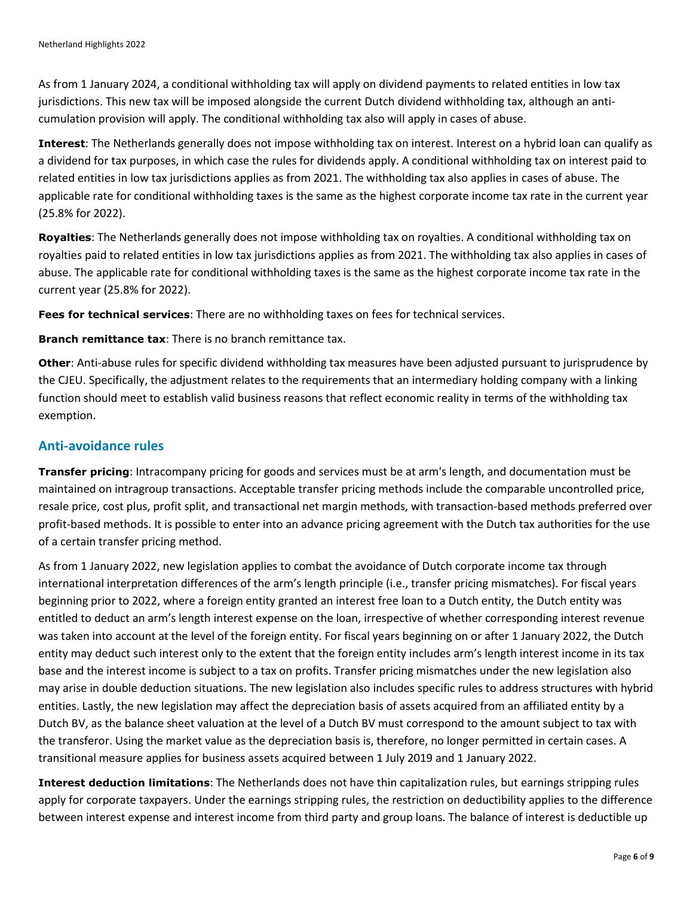As from 1 January 2024, a conditional withholding tax will apply on dividend payments to related entities in low tax jurisdictions. This new tax will be imposed alongside the current Dutch dividend withholding tax, although an anticumulation provision will apply. The conditional withholding tax also will apply in cases of abuse.

**Interest**: The Netherlands generally does not impose withholding tax on interest. Interest on a hybrid loan can qualify as a dividend for tax purposes, in which case the rules for dividends apply. A conditional withholding tax on interest paid to related entities in low tax jurisdictions applies as from 2021. The withholding tax also applies in cases of abuse. The applicable rate for conditional withholding taxes is the same as the highest corporate income tax rate in the current year (25.8% for 2022).

**Royalties**: The Netherlands generally does not impose withholding tax on royalties. A conditional withholding tax on royalties paid to related entities in low tax jurisdictions applies as from 2021. The withholding tax also applies in cases of abuse. The applicable rate for conditional withholding taxes is the same as the highest corporate income tax rate in the current year (25.8% for 2022).

**Fees for technical services**: There are no withholding taxes on fees for technical services.

**Branch remittance tax**: There is no branch remittance tax.

**Other**: Anti-abuse rules for specific dividend withholding tax measures have been adjusted pursuant to jurisprudence by the CJEU. Specifically, the adjustment relates to the requirements that an intermediary holding company with a linking function should meet to establish valid business reasons that reflect economic reality in terms of the withholding tax exemption.

#### **Anti-avoidance rules**

**Transfer pricing**: Intracompany pricing for goods and services must be at arm's length, and documentation must be maintained on intragroup transactions. Acceptable transfer pricing methods include the comparable uncontrolled price, resale price, cost plus, profit split, and transactional net margin methods, with transaction-based methods preferred over profit-based methods. It is possible to enter into an advance pricing agreement with the Dutch tax authorities for the use of a certain transfer pricing method.

As from 1 January 2022, new legislation applies to combat the avoidance of Dutch corporate income tax through international interpretation differences of the arm's length principle (i.e., transfer pricing mismatches). For fiscal years beginning prior to 2022, where a foreign entity granted an interest free loan to a Dutch entity, the Dutch entity was entitled to deduct an arm's length interest expense on the loan, irrespective of whether corresponding interest revenue was taken into account at the level of the foreign entity. For fiscal years beginning on or after 1 January 2022, the Dutch entity may deduct such interest only to the extent that the foreign entity includes arm's length interest income in its tax base and the interest income is subject to a tax on profits. Transfer pricing mismatches under the new legislation also may arise in double deduction situations. The new legislation also includes specific rules to address structures with hybrid entities. Lastly, the new legislation may affect the depreciation basis of assets acquired from an affiliated entity by a Dutch BV, as the balance sheet valuation at the level of a Dutch BV must correspond to the amount subject to tax with the transferor. Using the market value as the depreciation basis is, therefore, no longer permitted in certain cases. A transitional measure applies for business assets acquired between 1 July 2019 and 1 January 2022.

**Interest deduction limitations**: The Netherlands does not have thin capitalization rules, but earnings stripping rules apply for corporate taxpayers. Under the earnings stripping rules, the restriction on deductibility applies to the difference between interest expense and interest income from third party and group loans. The balance of interest is deductible up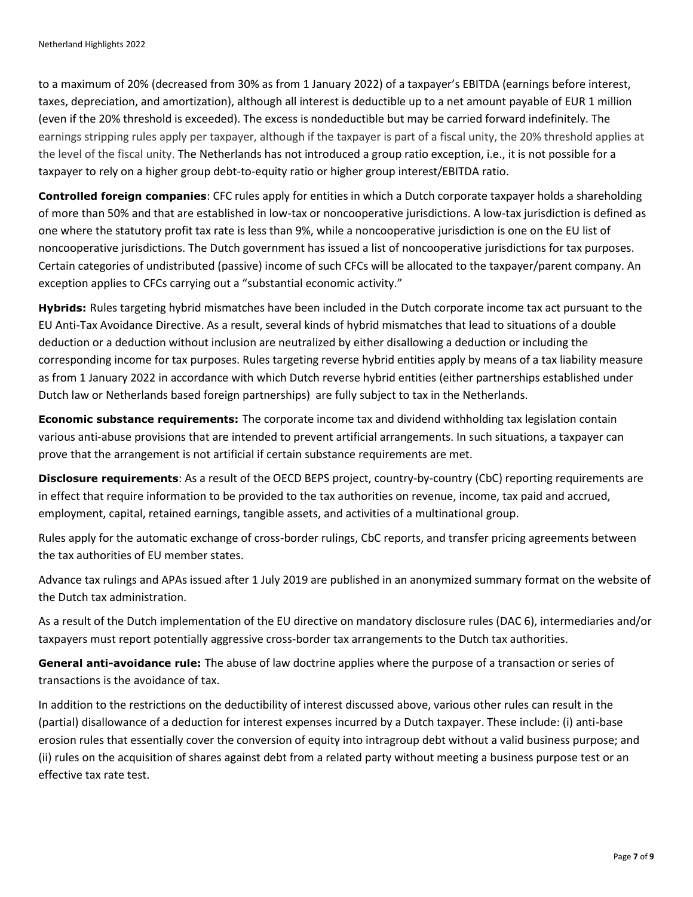to a maximum of 20% (decreased from 30% as from 1 January 2022) of a taxpayer's EBITDA (earnings before interest, taxes, depreciation, and amortization), although all interest is deductible up to a net amount payable of EUR 1 million (even if the 20% threshold is exceeded). The excess is nondeductible but may be carried forward indefinitely. The earnings stripping rules apply per taxpayer, although if the taxpayer is part of a fiscal unity, the 20% threshold applies at the level of the fiscal unity. The Netherlands has not introduced a group ratio exception, i.e., it is not possible for a taxpayer to rely on a higher group debt-to-equity ratio or higher group interest/EBITDA ratio.

**Controlled foreign companies**: CFC rules apply for entities in which a Dutch corporate taxpayer holds a shareholding of more than 50% and that are established in low-tax or noncooperative jurisdictions. A low-tax jurisdiction is defined as one where the statutory profit tax rate is less than 9%, while a noncooperative jurisdiction is one on the EU list of noncooperative jurisdictions. The Dutch government has issued a list of noncooperative jurisdictions for tax purposes. Certain categories of undistributed (passive) income of such CFCs will be allocated to the taxpayer/parent company. An exception applies to CFCs carrying out a "substantial economic activity."

**Hybrids:** Rules targeting hybrid mismatches have been included in the Dutch corporate income tax act pursuant to the EU Anti-Tax Avoidance Directive. As a result, several kinds of hybrid mismatches that lead to situations of a double deduction or a deduction without inclusion are neutralized by either disallowing a deduction or including the corresponding income for tax purposes. Rules targeting reverse hybrid entities apply by means of a tax liability measure as from 1 January 2022 in accordance with which Dutch reverse hybrid entities (either partnerships established under Dutch law or Netherlands based foreign partnerships) are fully subject to tax in the Netherlands.

**Economic substance requirements:** The corporate income tax and dividend withholding tax legislation contain various anti-abuse provisions that are intended to prevent artificial arrangements. In such situations, a taxpayer can prove that the arrangement is not artificial if certain substance requirements are met.

**Disclosure requirements**: As a result of the OECD BEPS project, country-by-country (CbC) reporting requirements are in effect that require information to be provided to the tax authorities on revenue, income, tax paid and accrued, employment, capital, retained earnings, tangible assets, and activities of a multinational group.

Rules apply for the automatic exchange of cross-border rulings, CbC reports, and transfer pricing agreements between the tax authorities of EU member states.

Advance tax rulings and APAs issued after 1 July 2019 are published in an anonymized summary format on the website of the Dutch tax administration.

As a result of the Dutch implementation of the EU directive on mandatory disclosure rules (DAC 6), intermediaries and/or taxpayers must report potentially aggressive cross-border tax arrangements to the Dutch tax authorities.

**General anti-avoidance rule:** The abuse of law doctrine applies where the purpose of a transaction or series of transactions is the avoidance of tax.

In addition to the restrictions on the deductibility of interest discussed above, various other rules can result in the (partial) disallowance of a deduction for interest expenses incurred by a Dutch taxpayer. These include: (i) anti-base erosion rules that essentially cover the conversion of equity into intragroup debt without a valid business purpose; and (ii) rules on the acquisition of shares against debt from a related party without meeting a business purpose test or an effective tax rate test.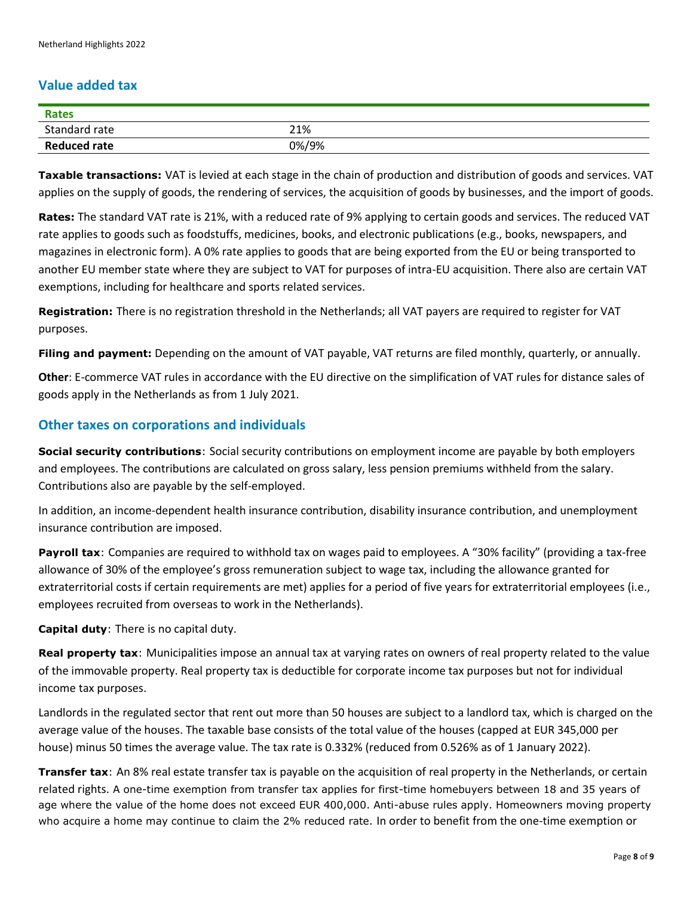#### **Value added tax**

| <b>Rates</b>        |       |
|---------------------|-------|
| Standard rate       | 21%   |
| <b>Reduced rate</b> | 0%/9% |

**Taxable transactions:** VAT is levied at each stage in the chain of production and distribution of goods and services. VAT applies on the supply of goods, the rendering of services, the acquisition of goods by businesses, and the import of goods.

**Rates:** The standard VAT rate is 21%, with a reduced rate of 9% applying to certain goods and services. The reduced VAT rate applies to goods such as foodstuffs, medicines, books, and electronic publications (e.g., books, newspapers, and magazines in electronic form). A 0% rate applies to goods that are being exported from the EU or being transported to another EU member state where they are subject to VAT for purposes of intra-EU acquisition. There also are certain VAT exemptions, including for healthcare and sports related services.

**Registration:** There is no registration threshold in the Netherlands; all VAT payers are required to register for VAT purposes.

**Filing and payment:** Depending on the amount of VAT payable, VAT returns are filed monthly, quarterly, or annually.

**Other**: E-commerce VAT rules in accordance with the EU directive on the simplification of VAT rules for distance sales of goods apply in the Netherlands as from 1 July 2021.

#### **Other taxes on corporations and individuals**

**Social security contributions**: Social security contributions on employment income are payable by both employers and employees. The contributions are calculated on gross salary, less pension premiums withheld from the salary. Contributions also are payable by the self-employed.

In addition, an income-dependent health insurance contribution, disability insurance contribution, and unemployment insurance contribution are imposed.

**Payroll tax**: Companies are required to withhold tax on wages paid to employees. A "30% facility" (providing a tax-free allowance of 30% of the employee's gross remuneration subject to wage tax, including the allowance granted for extraterritorial costs if certain requirements are met) applies for a period of five years for extraterritorial employees (i.e., employees recruited from overseas to work in the Netherlands).

**Capital duty**: There is no capital duty.

**Real property tax**: Municipalities impose an annual tax at varying rates on owners of real property related to the value of the immovable property. Real property tax is deductible for corporate income tax purposes but not for individual income tax purposes.

Landlords in the regulated sector that rent out more than 50 houses are subject to a landlord tax, which is charged on the average value of the houses. The taxable base consists of the total value of the houses (capped at EUR 345,000 per house) minus 50 times the average value. The tax rate is 0.332% (reduced from 0.526% as of 1 January 2022).

**Transfer tax**: An 8% real estate transfer tax is payable on the acquisition of real property in the Netherlands, or certain related rights. A one-time exemption from transfer tax applies for first-time homebuyers between 18 and 35 years of age where the value of the home does not exceed EUR 400,000. Anti-abuse rules apply. Homeowners moving property who acquire a home may continue to claim the 2% reduced rate. In order to benefit from the one-time exemption or